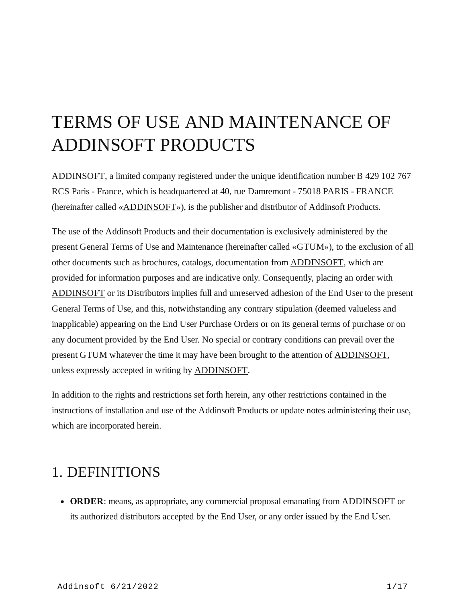# TERMS OF USE AND MAINTENANCE OF ADDINSOFT PRODUCTS

[ADDINSOFT,](https://www.addinsoft.com/) a limited company registered under the unique identification number B 429 102 767 RCS Paris - France, which is headquartered at 40, rue Damremont - 75018 PARIS - FRANCE (hereinafter called «[ADDINSOFT»](https://www.addinsoft.com/)), is the publisher and distributor of Addinsoft Products.

The use of the Addinsoft Products and their documentation is exclusively administered by the present General Terms of Use and Maintenance (hereinafter called «GTUM»), to the exclusion of all other documents such as brochures, catalogs, documentation from [ADDINSOFT,](https://www.addinsoft.com/) which are provided for information purposes and are indicative only. Consequently, placing an order with [ADDINSOFT](https://www.addinsoft.com/) or its Distributors implies full and unreserved adhesion of the End User to the present General Terms of Use, and this, notwithstanding any contrary stipulation (deemed valueless and inapplicable) appearing on the End User Purchase Orders or on its general terms of purchase or on any document provided by the End User. No special or contrary conditions can prevail over the present GTUM whatever the time it may have been brought to the attention of [ADDINSOFT](https://www.addinsoft.com/), unless expressly accepted in writing by [ADDINSOFT.](https://www.addinsoft.com/)

In addition to the rights and restrictions set forth herein, any other restrictions contained in the instructions of installation and use of the Addinsoft Products or update notes administering their use, which are incorporated herein.

### 1. DEFINITIONS

**ORDER**: means, as appropriate, any commercial proposal emanating from [ADDINSOFT](https://www.addinsoft.com/) or its authorized distributors accepted by the End User, or any order issued by the End User.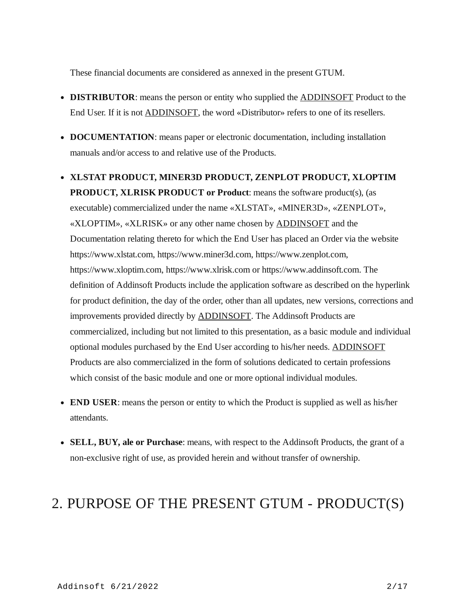These financial documents are considered as annexed in the present GTUM.

- **DISTRIBUTOR**: means the person or entity who supplied the [ADDINSOFT](https://www.addinsoft.com/) Product to the End User. If it is not [ADDINSOFT](https://www.addinsoft.com/), the word «Distributor» refers to one of its resellers.
- **DOCUMENTATION**: means paper or electronic documentation, including installation manuals and/or access to and relative use of the Products.
- **XLSTAT PRODUCT, MINER3D PRODUCT, ZENPLOT PRODUCT, XLOPTIM PRODUCT, XLRISK PRODUCT or Product**: means the software product(s), (as executable) commercialized under the name «XLSTAT», «MINER3D», «ZENPLOT», «XLOPTIM», «XLRISK» or any other name chosen by [ADDINSOFT](https://www.addinsoft.com/) and the Documentation relating thereto for which the End User has placed an Order via the website https://www.xlstat.com, https://www.miner3d.com, https://www.zenplot.com, https://www.xloptim.com, https://www.xlrisk.com or https://www.addinsoft.com. The definition of Addinsoft Products include the application software as described on the hyperlink for product definition, the day of the order, other than all updates, new versions, corrections and improvements provided directly by **ADDINSOFT**. The Addinsoft Products are commercialized, including but not limited to this presentation, as a basic module and individual optional modules purchased by the End User according to his/her needs. [ADDINSOFT](https://www.addinsoft.com/) Products are also commercialized in the form of solutions dedicated to certain professions which consist of the basic module and one or more optional individual modules.
- **END USER**: means the person or entity to which the Product is supplied as well as his/her attendants.
- **SELL, BUY, ale or Purchase**: means, with respect to the Addinsoft Products, the grant of a non-exclusive right of use, as provided herein and without transfer of ownership.

### 2. PURPOSE OF THE PRESENT GTUM - PRODUCT(S)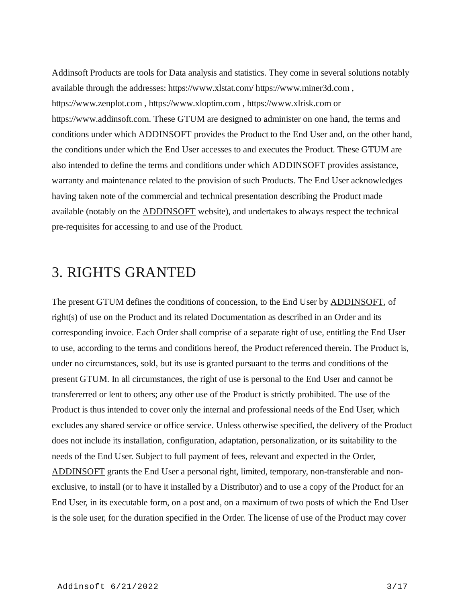Addinsoft Products are tools for Data analysis and statistics. They come in several solutions notably available through the addresses: https://www.xlstat.com/ https://www.miner3d.com , https://www.zenplot.com , https://www.xloptim.com , https://www.xlrisk.com or https://www.addinsoft.com. These GTUM are designed to administer on one hand, the terms and conditions under which [ADDINSOFT](https://www.addinsoft.com/) provides the Product to the End User and, on the other hand, the conditions under which the End User accesses to and executes the Product. These GTUM are also intended to define the terms and conditions under which [ADDINSOFT](https://www.addinsoft.com/) provides assistance, warranty and maintenance related to the provision of such Products. The End User acknowledges having taken note of the commercial and technical presentation describing the Product made available (notably on the **[ADDINSOFT](https://www.addinsoft.com/)** website), and undertakes to always respect the technical pre-requisites for accessing to and use of the Product.

### 3. RIGHTS GRANTED

The present GTUM defines the conditions of concession, to the End User by [ADDINSOFT](https://www.addinsoft.com/), of right(s) of use on the Product and its related Documentation as described in an Order and its corresponding invoice. Each Order shall comprise of a separate right of use, entitling the End User to use, according to the terms and conditions hereof, the Product referenced therein. The Product is, under no circumstances, sold, but its use is granted pursuant to the terms and conditions of the present GTUM. In all circumstances, the right of use is personal to the End User and cannot be transfererred or lent to others; any other use of the Product is strictly prohibited. The use of the Product is thus intended to cover only the internal and professional needs of the End User, which excludes any shared service or office service. Unless otherwise specified, the delivery of the Product does not include its installation, configuration, adaptation, personalization, or its suitability to the needs of the End User. Subject to full payment of fees, relevant and expected in the Order, [ADDINSOFT](https://www.addinsoft.com/) grants the End User a personal right, limited, temporary, non-transferable and nonexclusive, to install (or to have it installed by a Distributor) and to use a copy of the Product for an End User, in its executable form, on a post and, on a maximum of two posts of which the End User is the sole user, for the duration specified in the Order. The license of use of the Product may cover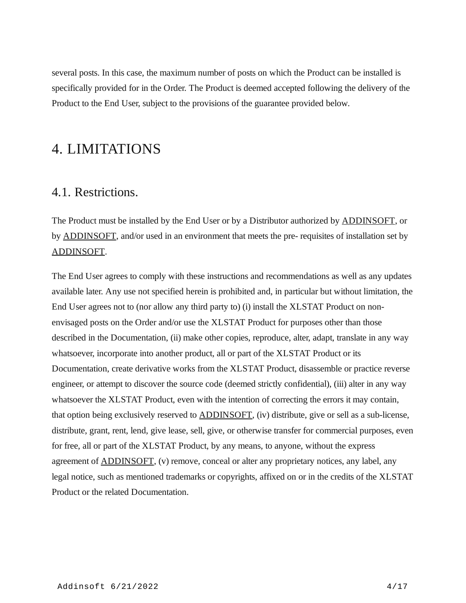several posts. In this case, the maximum number of posts on which the Product can be installed is specifically provided for in the Order. The Product is deemed accepted following the delivery of the Product to the End User, subject to the provisions of the guarantee provided below.

### 4. LIMITATIONS

#### 4.1. Restrictions.

The Product must be installed by the End User or by a Distributor authorized by **ADDINSOFT**, or by **ADDINSOFT**, and/or used in an environment that meets the pre- requisites of installation set by [ADDINSOFT.](https://www.addinsoft.com/)

The End User agrees to comply with these instructions and recommendations as well as any updates available later. Any use not specified herein is prohibited and, in particular but without limitation, the End User agrees not to (nor allow any third party to) (i) install the XLSTAT Product on nonenvisaged posts on the Order and/or use the XLSTAT Product for purposes other than those described in the Documentation, (ii) make other copies, reproduce, alter, adapt, translate in any way whatsoever, incorporate into another product, all or part of the XLSTAT Product or its Documentation, create derivative works from the XLSTAT Product, disassemble or practice reverse engineer, or attempt to discover the source code (deemed strictly confidential), (iii) alter in any way whatsoever the XLSTAT Product, even with the intention of correcting the errors it may contain, that option being exclusively reserved to [ADDINSOFT,](https://www.addinsoft.com/) (iv) distribute, give or sell as a sub-license, distribute, grant, rent, lend, give lease, sell, give, or otherwise transfer for commercial purposes, even for free, all or part of the XLSTAT Product, by any means, to anyone, without the express agreement of **[ADDINSOFT](https://www.addinsoft.com/)**, (v) remove, conceal or alter any proprietary notices, any label, any legal notice, such as mentioned trademarks or copyrights, affixed on or in the credits of the XLSTAT Product or the related Documentation.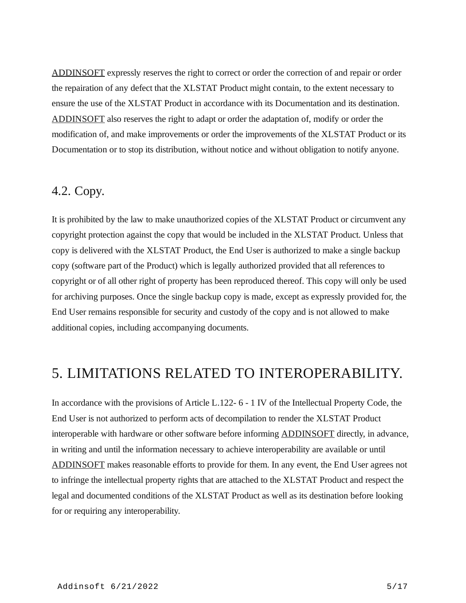[ADDINSOFT](https://www.addinsoft.com/) expressly reserves the right to correct or order the correction of and repair or order the repairation of any defect that the XLSTAT Product might contain, to the extent necessary to ensure the use of the XLSTAT Product in accordance with its Documentation and its destination. [ADDINSOFT](https://www.addinsoft.com/) also reserves the right to adapt or order the adaptation of, modify or order the modification of, and make improvements or order the improvements of the XLSTAT Product or its Documentation or to stop its distribution, without notice and without obligation to notify anyone.

#### 4.2. Copy.

It is prohibited by the law to make unauthorized copies of the XLSTAT Product or circumvent any copyright protection against the copy that would be included in the XLSTAT Product. Unless that copy is delivered with the XLSTAT Product, the End User is authorized to make a single backup copy (software part of the Product) which is legally authorized provided that all references to copyright or of all other right of property has been reproduced thereof. This copy will only be used for archiving purposes. Once the single backup copy is made, except as expressly provided for, the End User remains responsible for security and custody of the copy and is not allowed to make additional copies, including accompanying documents.

### 5. LIMITATIONS RELATED TO INTEROPERABILITY.

In accordance with the provisions of Article L.122- 6 - 1 IV of the Intellectual Property Code, the End User is not authorized to perform acts of decompilation to render the XLSTAT Product interoperable with hardware or other software before informing [ADDINSOFT](https://www.addinsoft.com/) directly, in advance, in writing and until the information necessary to achieve interoperability are available or until [ADDINSOFT](https://www.addinsoft.com/) makes reasonable efforts to provide for them. In any event, the End User agrees not to infringe the intellectual property rights that are attached to the XLSTAT Product and respect the legal and documented conditions of the XLSTAT Product as well as its destination before looking for or requiring any interoperability.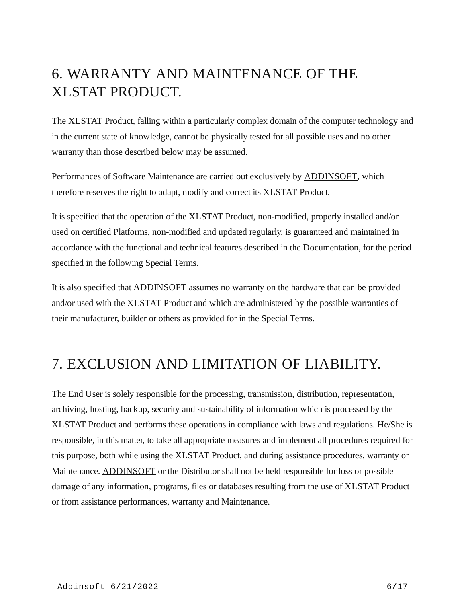## 6. WARRANTY AND MAINTENANCE OF THE XLSTAT PRODUCT.

The XLSTAT Product, falling within a particularly complex domain of the computer technology and in the current state of knowledge, cannot be physically tested for all possible uses and no other warranty than those described below may be assumed.

Performances of Software Maintenance are carried out exclusively by [ADDINSOFT,](https://www.addinsoft.com/) which therefore reserves the right to adapt, modify and correct its XLSTAT Product.

It is specified that the operation of the XLSTAT Product, non-modified, properly installed and/or used on certified Platforms, non-modified and updated regularly, is guaranteed and maintained in accordance with the functional and technical features described in the Documentation, for the period specified in the following Special Terms.

It is also specified that [ADDINSOFT](https://www.addinsoft.com/) assumes no warranty on the hardware that can be provided and/or used with the XLSTAT Product and which are administered by the possible warranties of their manufacturer, builder or others as provided for in the Special Terms.

### 7. EXCLUSION AND LIMITATION OF LIABILITY.

The End User is solely responsible for the processing, transmission, distribution, representation, archiving, hosting, backup, security and sustainability of information which is processed by the XLSTAT Product and performs these operations in compliance with laws and regulations. He/She is responsible, in this matter, to take all appropriate measures and implement all procedures required for this purpose, both while using the XLSTAT Product, and during assistance procedures, warranty or Maintenance. [ADDINSOFT](https://www.addinsoft.com/) or the Distributor shall not be held responsible for loss or possible damage of any information, programs, files or databases resulting from the use of XLSTAT Product or from assistance performances, warranty and Maintenance.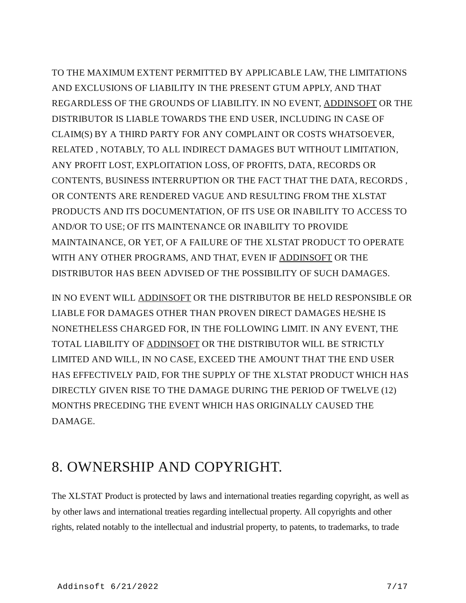TO THE MAXIMUM EXTENT PERMITTED BY APPLICABLE LAW, THE LIMITATIONS AND EXCLUSIONS OF LIABILITY IN THE PRESENT GTUM APPLY, AND THAT REGARDLESS OF THE GROUNDS OF LIABILITY. IN NO EVENT, [ADDINSOFT](https://www.addinsoft.com/) OR THE DISTRIBUTOR IS LIABLE TOWARDS THE END USER, INCLUDING IN CASE OF CLAIM(S) BY A THIRD PARTY FOR ANY COMPLAINT OR COSTS WHATSOEVER, RELATED , NOTABLY, TO ALL INDIRECT DAMAGES BUT WITHOUT LIMITATION, ANY PROFIT LOST, EXPLOITATION LOSS, OF PROFITS, DATA, RECORDS OR CONTENTS, BUSINESS INTERRUPTION OR THE FACT THAT THE DATA, RECORDS , OR CONTENTS ARE RENDERED VAGUE AND RESULTING FROM THE XLSTAT PRODUCTS AND ITS DOCUMENTATION, OF ITS USE OR INABILITY TO ACCESS TO AND/OR TO USE; OF ITS MAINTENANCE OR INABILITY TO PROVIDE MAINTAINANCE, OR YET, OF A FAILURE OF THE XLSTAT PRODUCT TO OPERATE WITH ANY OTHER PROGRAMS, AND THAT, EVEN IF [ADDINSOFT](https://www.addinsoft.com/) OR THE DISTRIBUTOR HAS BEEN ADVISED OF THE POSSIBILITY OF SUCH DAMAGES.

IN NO EVENT WILL [ADDINSOFT](https://www.addinsoft.com/) OR THE DISTRIBUTOR BE HELD RESPONSIBLE OR LIABLE FOR DAMAGES OTHER THAN PROVEN DIRECT DAMAGES HE/SHE IS NONETHELESS CHARGED FOR, IN THE FOLLOWING LIMIT. IN ANY EVENT, THE TOTAL LIABILITY OF [ADDINSOFT](https://www.addinsoft.com/) OR THE DISTRIBUTOR WILL BE STRICTLY LIMITED AND WILL, IN NO CASE, EXCEED THE AMOUNT THAT THE END USER HAS EFFECTIVELY PAID, FOR THE SUPPLY OF THE XLSTAT PRODUCT WHICH HAS DIRECTLY GIVEN RISE TO THE DAMAGE DURING THE PERIOD OF TWELVE (12) MONTHS PRECEDING THE EVENT WHICH HAS ORIGINALLY CAUSED THE DAMAGE.

### 8. OWNERSHIP AND COPYRIGHT.

The XLSTAT Product is protected by laws and international treaties regarding copyright, as well as by other laws and international treaties regarding intellectual property. All copyrights and other rights, related notably to the intellectual and industrial property, to patents, to trademarks, to trade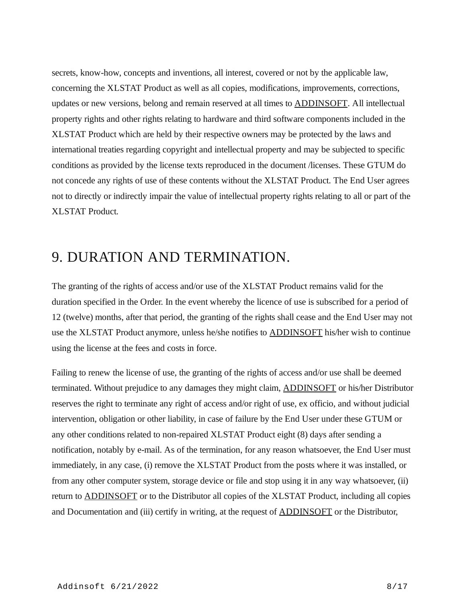secrets, know-how, concepts and inventions, all interest, covered or not by the applicable law, concerning the XLSTAT Product as well as all copies, modifications, improvements, corrections, updates or new versions, belong and remain reserved at all times to [ADDINSOFT.](https://www.addinsoft.com/) All intellectual property rights and other rights relating to hardware and third software components included in the XLSTAT Product which are held by their respective owners may be protected by the laws and international treaties regarding copyright and intellectual property and may be subjected to specific conditions as provided by the license texts reproduced in the document /licenses. These GTUM do not concede any rights of use of these contents without the XLSTAT Product. The End User agrees not to directly or indirectly impair the value of intellectual property rights relating to all or part of the XLSTAT Product.

### 9. DURATION AND TERMINATION.

The granting of the rights of access and/or use of the XLSTAT Product remains valid for the duration specified in the Order. In the event whereby the licence of use is subscribed for a period of 12 (twelve) months, after that period, the granting of the rights shall cease and the End User may not use the XLSTAT Product anymore, unless he/she notifies to [ADDINSOFT](https://www.addinsoft.com/) his/her wish to continue using the license at the fees and costs in force.

Failing to renew the license of use, the granting of the rights of access and/or use shall be deemed terminated. Without prejudice to any damages they might claim, [ADDINSOFT](https://www.addinsoft.com/) or his/her Distributor reserves the right to terminate any right of access and/or right of use, ex officio, and without judicial intervention, obligation or other liability, in case of failure by the End User under these GTUM or any other conditions related to non-repaired XLSTAT Product eight (8) days after sending a notification, notably by e-mail. As of the termination, for any reason whatsoever, the End User must immediately, in any case, (i) remove the XLSTAT Product from the posts where it was installed, or from any other computer system, storage device or file and stop using it in any way whatsoever, (ii) return to [ADDINSOFT](https://www.addinsoft.com/) or to the Distributor all copies of the XLSTAT Product, including all copies and Documentation and (iii) certify in writing, at the request of **ADDINSOFT** or the Distributor,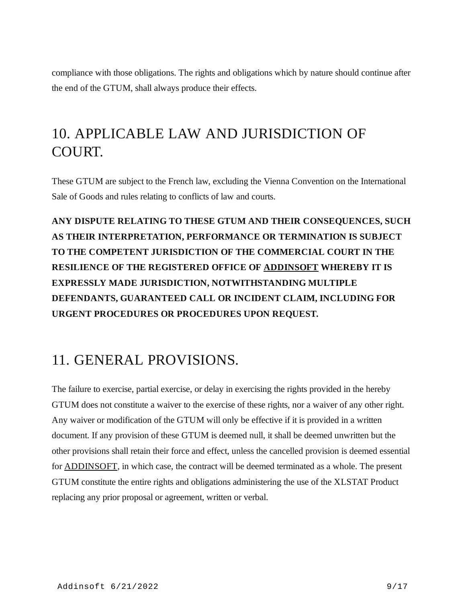compliance with those obligations. The rights and obligations which by nature should continue after the end of the GTUM, shall always produce their effects.

## 10. APPLICABLE LAW AND JURISDICTION OF COURT.

These GTUM are subject to the French law, excluding the Vienna Convention on the International Sale of Goods and rules relating to conflicts of law and courts.

**ANY DISPUTE RELATING TO THESE GTUM AND THEIR CONSEQUENCES, SUCH AS THEIR INTERPRETATION, PERFORMANCE OR TERMINATION IS SUBJECT TO THE COMPETENT JURISDICTION OF THE COMMERCIAL COURT IN THE RESILIENCE OF THE REGISTERED OFFICE OF [ADDINSOFT](https://www.addinsoft.com/) WHEREBY IT IS EXPRESSLY MADE JURISDICTION, NOTWITHSTANDING MULTIPLE DEFENDANTS, GUARANTEED CALL OR INCIDENT CLAIM, INCLUDING FOR URGENT PROCEDURES OR PROCEDURES UPON REQUEST.**

## 11. GENERAL PROVISIONS.

The failure to exercise, partial exercise, or delay in exercising the rights provided in the hereby GTUM does not constitute a waiver to the exercise of these rights, nor a waiver of any other right. Any waiver or modification of the GTUM will only be effective if it is provided in a written document. If any provision of these GTUM is deemed null, it shall be deemed unwritten but the other provisions shall retain their force and effect, unless the cancelled provision is deemed essential for [ADDINSOFT](https://www.addinsoft.com/), in which case, the contract will be deemed terminated as a whole. The present GTUM constitute the entire rights and obligations administering the use of the XLSTAT Product replacing any prior proposal or agreement, written or verbal.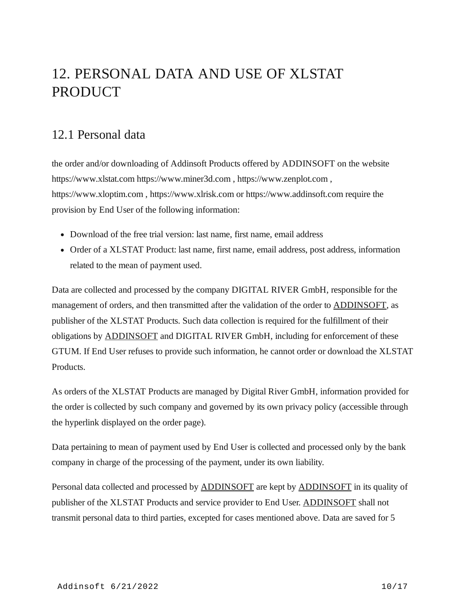## 12. PERSONAL DATA AND USE OF XLSTAT PRODUCT

#### 12.1 Personal data

the order and/or downloading of Addinsoft Products offered by ADDINSOFT on the website https://www.xlstat.com https://www.miner3d.com , https://www.zenplot.com , https://www.xloptim.com , https://www.xlrisk.com or https://www.addinsoft.com require the provision by End User of the following information:

- Download of the free trial version: last name, first name, email address
- Order of a XLSTAT Product: last name, first name, email address, post address, information related to the mean of payment used.

Data are collected and processed by the company DIGITAL RIVER GmbH, responsible for the management of orders, and then transmitted after the validation of the order to **ADDINSOFT**, as publisher of the XLSTAT Products. Such data collection is required for the fulfillment of their obligations by [ADDINSOFT](https://www.addinsoft.com/) and DIGITAL RIVER GmbH, including for enforcement of these GTUM. If End User refuses to provide such information, he cannot order or download the XLSTAT Products.

As orders of the XLSTAT Products are managed by Digital River GmbH, information provided for the order is collected by such company and governed by its own privacy policy (accessible through the hyperlink displayed on the order page).

Data pertaining to mean of payment used by End User is collected and processed only by the bank company in charge of the processing of the payment, under its own liability.

Personal data collected and processed by **ADDINSOFT** are kept by **ADDINSOFT** in its quality of publisher of the XLSTAT Products and service provider to End User. [ADDINSOFT](https://www.addinsoft.com/) shall not transmit personal data to third parties, excepted for cases mentioned above. Data are saved for 5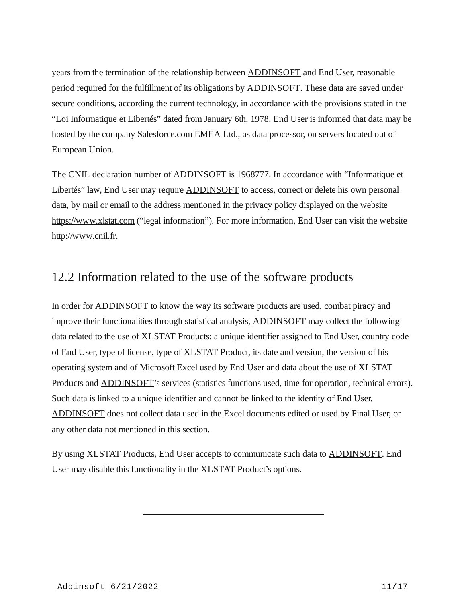years from the termination of the relationship between [ADDINSOFT](https://www.addinsoft.com/) and End User, reasonable period required for the fulfillment of its obligations by [ADDINSOFT.](https://www.addinsoft.com/) These data are saved under secure conditions, according the current technology, in accordance with the provisions stated in the "Loi Informatique et Libertés" dated from January 6th, 1978. End User is informed that data may be hosted by the company Salesforce.com EMEA Ltd., as data processor, on servers located out of European Union.

The CNIL declaration number of **ADDINSOFT** is 1968777. In accordance with "Informatique et Libertés" law, End User may require **[ADDINSOFT](https://www.addinsoft.com/)** to access, correct or delete his own personal data, by mail or email to the address mentioned in the privacy policy displayed on the website [https://www.xlstat.com](https://www.xlstat.com/) ("legal information"). For more information, End User can visit the website [http://www.cnil.fr](http://www.cnil.fr/).

#### 12.2 Information related to the use of the software products

In order for [ADDINSOFT](https://www.addinsoft.com/) to know the way its software products are used, combat piracy and improve their functionalities through statistical analysis, [ADDINSOFT](https://www.addinsoft.com/) may collect the following data related to the use of XLSTAT Products: a unique identifier assigned to End User, country code of End User, type of license, type of XLSTAT Product, its date and version, the version of his operating system and of Microsoft Excel used by End User and data about the use of XLSTAT Products and [ADDINSOFT](https://www.addinsoft.com/)'s services (statistics functions used, time for operation, technical errors). Such data is linked to a unique identifier and cannot be linked to the identity of End User. [ADDINSOFT](https://www.addinsoft.com/) does not collect data used in the Excel documents edited or used by Final User, or any other data not mentioned in this section.

By using XLSTAT Products, End User accepts to communicate such data to **ADDINSOFT**. End User may disable this functionality in the XLSTAT Product's options.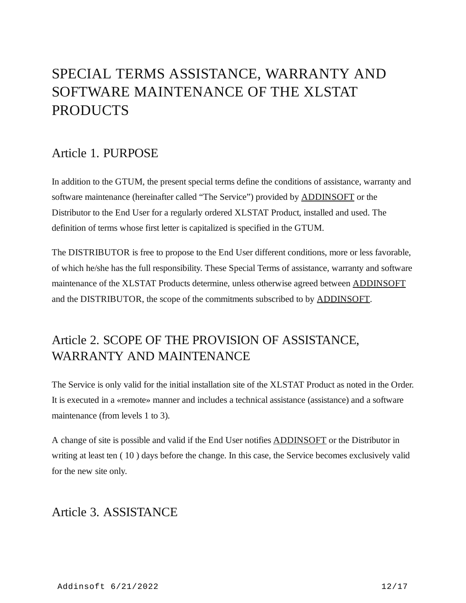## SPECIAL TERMS ASSISTANCE, WARRANTY AND SOFTWARE MAINTENANCE OF THE XLSTAT PRODUCTS

#### Article 1. PURPOSE

In addition to the GTUM, the present special terms define the conditions of assistance, warranty and software maintenance (hereinafter called "The Service") provided by **ADDINSOFT** or the Distributor to the End User for a regularly ordered XLSTAT Product, installed and used. The definition of terms whose first letter is capitalized is specified in the GTUM.

The DISTRIBUTOR is free to propose to the End User different conditions, more or less favorable, of which he/she has the full responsibility. These Special Terms of assistance, warranty and software maintenance of the XLSTAT Products determine, unless otherwise agreed between **[ADDINSOFT](https://www.addinsoft.com/)** and the DISTRIBUTOR, the scope of the commitments subscribed to by [ADDINSOFT](https://www.addinsoft.com/).

### Article 2. SCOPE OF THE PROVISION OF ASSISTANCE, WARRANTY AND MAINTENANCE

The Service is only valid for the initial installation site of the XLSTAT Product as noted in the Order. It is executed in a «remote» manner and includes a technical assistance (assistance) and a software maintenance (from levels 1 to 3).

A change of site is possible and valid if the End User notifies [ADDINSOFT](https://www.addinsoft.com/) or the Distributor in writing at least ten ( 10 ) days before the change. In this case, the Service becomes exclusively valid for the new site only.

#### Article 3. ASSISTANCE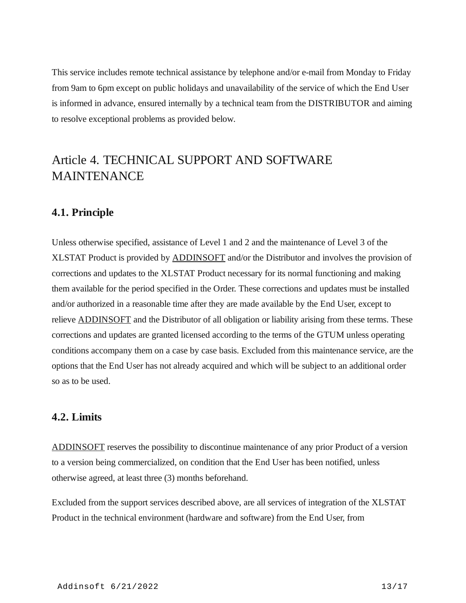This service includes remote technical assistance by telephone and/or e-mail from Monday to Friday from 9am to 6pm except on public holidays and unavailability of the service of which the End User is informed in advance, ensured internally by a technical team from the DISTRIBUTOR and aiming to resolve exceptional problems as provided below.

#### Article 4. TECHNICAL SUPPORT AND SOFTWARE MAINTENANCE

#### **4.1. Principle**

Unless otherwise specified, assistance of Level 1 and 2 and the maintenance of Level 3 of the XLSTAT Product is provided by **ADDINSOFT** and/or the Distributor and involves the provision of corrections and updates to the XLSTAT Product necessary for its normal functioning and making them available for the period specified in the Order. These corrections and updates must be installed and/or authorized in a reasonable time after they are made available by the End User, except to relieve **[ADDINSOFT](https://www.addinsoft.com/)** and the Distributor of all obligation or liability arising from these terms. These corrections and updates are granted licensed according to the terms of the GTUM unless operating conditions accompany them on a case by case basis. Excluded from this maintenance service, are the options that the End User has not already acquired and which will be subject to an additional order so as to be used.

#### **4.2. Limits**

[ADDINSOFT](https://www.addinsoft.com/) reserves the possibility to discontinue maintenance of any prior Product of a version to a version being commercialized, on condition that the End User has been notified, unless otherwise agreed, at least three (3) months beforehand.

Excluded from the support services described above, are all services of integration of the XLSTAT Product in the technical environment (hardware and software) from the End User, from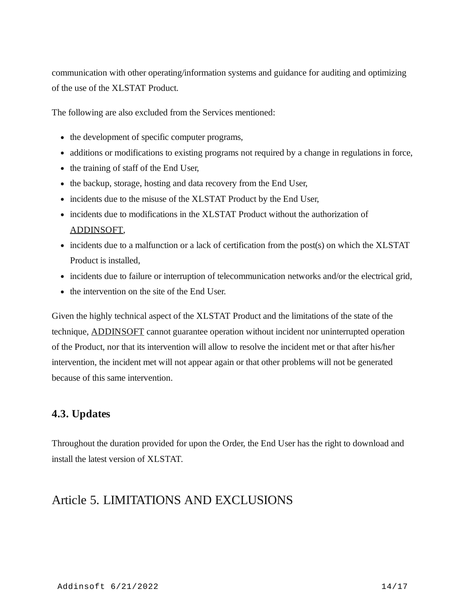communication with other operating/information systems and guidance for auditing and optimizing of the use of the XLSTAT Product.

The following are also excluded from the Services mentioned:

- the development of specific computer programs,
- additions or modifications to existing programs not required by a change in regulations in force,
- the training of staff of the End User,
- the backup, storage, hosting and data recovery from the End User,
- incidents due to the misuse of the XLSTAT Product by the End User,
- incidents due to modifications in the XLSTAT Product without the authorization of [ADDINSOFT,](https://www.addinsoft.com/)
- incidents due to a malfunction or a lack of certification from the post(s) on which the XLSTAT Product is installed,
- incidents due to failure or interruption of telecommunication networks and/or the electrical grid,
- the intervention on the site of the End User.

Given the highly technical aspect of the XLSTAT Product and the limitations of the state of the technique, [ADDINSOFT](https://www.addinsoft.com/) cannot guarantee operation without incident nor uninterrupted operation of the Product, nor that its intervention will allow to resolve the incident met or that after his/her intervention, the incident met will not appear again or that other problems will not be generated because of this same intervention.

#### **4.3. Updates**

Throughout the duration provided for upon the Order, the End User has the right to download and install the latest version of XLSTAT.

#### Article 5. LIMITATIONS AND EXCLUSIONS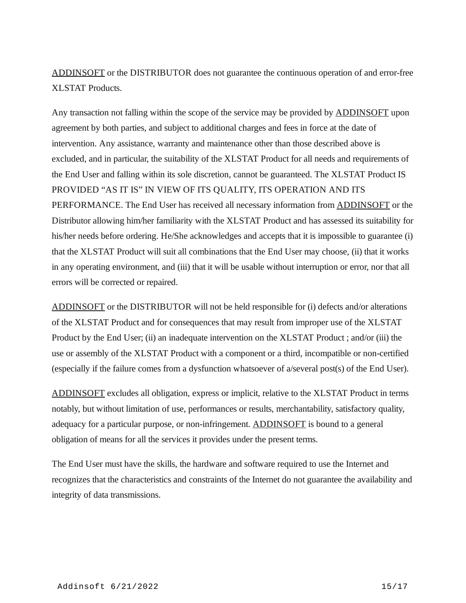[ADDINSOFT](https://www.addinsoft.com/) or the DISTRIBUTOR does not guarantee the continuous operation of and error-free XLSTAT Products.

Any transaction not falling within the scope of the service may be provided by **ADDINSOFT** upon agreement by both parties, and subject to additional charges and fees in force at the date of intervention. Any assistance, warranty and maintenance other than those described above is excluded, and in particular, the suitability of the XLSTAT Product for all needs and requirements of the End User and falling within its sole discretion, cannot be guaranteed. The XLSTAT Product IS PROVIDED "AS IT IS" IN VIEW OF ITS QUALITY, ITS OPERATION AND ITS PERFORMANCE. The End User has received all necessary information from [ADDINSOFT](https://www.addinsoft.com/) or the Distributor allowing him/her familiarity with the XLSTAT Product and has assessed its suitability for his/her needs before ordering. He/She acknowledges and accepts that it is impossible to guarantee (i) that the XLSTAT Product will suit all combinations that the End User may choose, (ii) that it works in any operating environment, and (iii) that it will be usable without interruption or error, nor that all errors will be corrected or repaired.

[ADDINSOFT](https://www.addinsoft.com/) or the DISTRIBUTOR will not be held responsible for (i) defects and/or alterations of the XLSTAT Product and for consequences that may result from improper use of the XLSTAT Product by the End User; (ii) an inadequate intervention on the XLSTAT Product ; and/or (iii) the use or assembly of the XLSTAT Product with a component or a third, incompatible or non-certified (especially if the failure comes from a dysfunction whatsoever of a/several post(s) of the End User).

[ADDINSOFT](https://www.addinsoft.com/) excludes all obligation, express or implicit, relative to the XLSTAT Product in terms notably, but without limitation of use, performances or results, merchantability, satisfactory quality, adequacy for a particular purpose, or non-infringement. [ADDINSOFT](https://www.addinsoft.com/) is bound to a general obligation of means for all the services it provides under the present terms.

The End User must have the skills, the hardware and software required to use the Internet and recognizes that the characteristics and constraints of the Internet do not guarantee the availability and integrity of data transmissions.